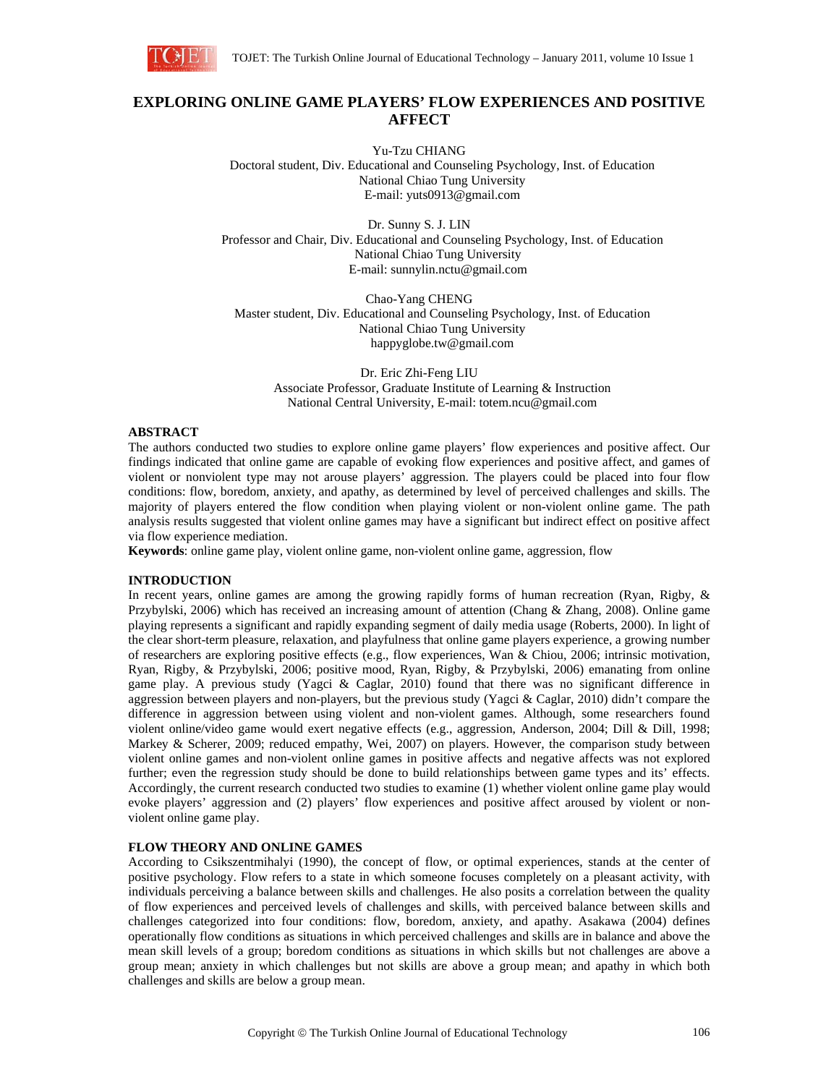

# **EXPLORING ONLINE GAME PLAYERS' FLOW EXPERIENCES AND POSITIVE AFFECT**

Yu-Tzu CHIANG Doctoral student, Div. Educational and Counseling Psychology, Inst. of Education National Chiao Tung University E-mail: yuts0913@gmail.com

Dr. Sunny S. J. LIN Professor and Chair, Div. Educational and Counseling Psychology, Inst. of Education National Chiao Tung University E-mail: sunnylin.nctu@gmail.com

Chao-Yang CHENG Master student, Div. Educational and Counseling Psychology, Inst. of Education National Chiao Tung University happyglobe.tw@gmail.com

Dr. Eric Zhi-Feng LIU Associate Professor, Graduate Institute of Learning & Instruction National Central University, E-mail: totem.ncu@gmail.com

#### **ABSTRACT**

The authors conducted two studies to explore online game players' flow experiences and positive affect. Our findings indicated that online game are capable of evoking flow experiences and positive affect, and games of violent or nonviolent type may not arouse players' aggression. The players could be placed into four flow conditions: flow, boredom, anxiety, and apathy, as determined by level of perceived challenges and skills. The majority of players entered the flow condition when playing violent or non-violent online game. The path analysis results suggested that violent online games may have a significant but indirect effect on positive affect via flow experience mediation.

**Keywords**: online game play, violent online game, non-violent online game, aggression, flow

### **INTRODUCTION**

In recent years, online games are among the growing rapidly forms of human recreation (Ryan, Rigby, & Przybylski, 2006) which has received an increasing amount of attention (Chang & Zhang, 2008). Online game playing represents a significant and rapidly expanding segment of daily media usage (Roberts, 2000). In light of the clear short-term pleasure, relaxation, and playfulness that online game players experience, a growing number of researchers are exploring positive effects (e.g., flow experiences, Wan & Chiou, 2006; intrinsic motivation, Ryan, Rigby, & Przybylski, 2006; positive mood, Ryan, Rigby, & Przybylski, 2006) emanating from online game play. A previous study (Yagci & Caglar, 2010) found that there was no significant difference in aggression between players and non-players, but the previous study (Yagci & Caglar, 2010) didn't compare the difference in aggression between using violent and non-violent games. Although, some researchers found violent online/video game would exert negative effects (e.g., aggression, Anderson, 2004; Dill & Dill, 1998; Markey & Scherer, 2009; reduced empathy, Wei, 2007) on players. However, the comparison study between violent online games and non-violent online games in positive affects and negative affects was not explored further; even the regression study should be done to build relationships between game types and its' effects. Accordingly, the current research conducted two studies to examine (1) whether violent online game play would evoke players' aggression and (2) players' flow experiences and positive affect aroused by violent or nonviolent online game play.

# **FLOW THEORY AND ONLINE GAMES**

According to Csikszentmihalyi (1990), the concept of flow, or optimal experiences, stands at the center of positive psychology. Flow refers to a state in which someone focuses completely on a pleasant activity, with individuals perceiving a balance between skills and challenges. He also posits a correlation between the quality of flow experiences and perceived levels of challenges and skills, with perceived balance between skills and challenges categorized into four conditions: flow, boredom, anxiety, and apathy. Asakawa (2004) defines operationally flow conditions as situations in which perceived challenges and skills are in balance and above the mean skill levels of a group; boredom conditions as situations in which skills but not challenges are above a group mean; anxiety in which challenges but not skills are above a group mean; and apathy in which both challenges and skills are below a group mean.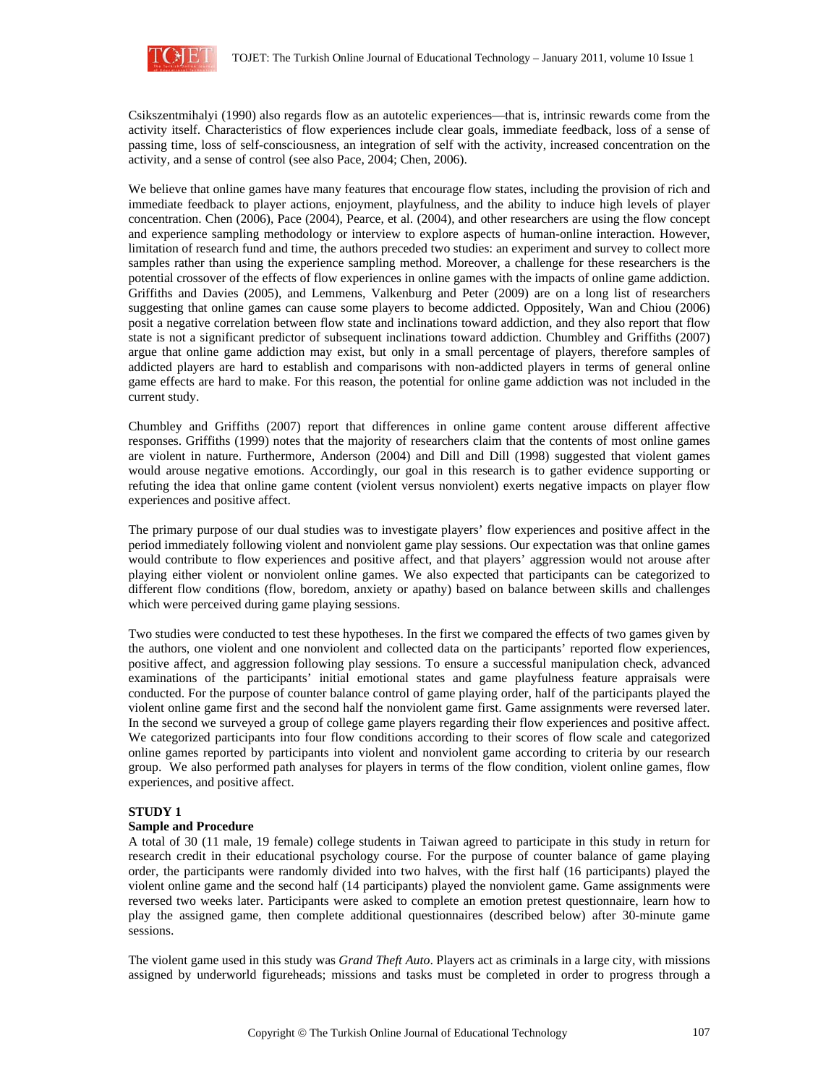

Csikszentmihalyi (1990) also regards flow as an autotelic experiences—that is, intrinsic rewards come from the activity itself. Characteristics of flow experiences include clear goals, immediate feedback, loss of a sense of passing time, loss of self-consciousness, an integration of self with the activity, increased concentration on the activity, and a sense of control (see also Pace, 2004; Chen, 2006).

We believe that online games have many features that encourage flow states, including the provision of rich and immediate feedback to player actions, enjoyment, playfulness, and the ability to induce high levels of player concentration. Chen (2006), Pace (2004), Pearce, et al. (2004), and other researchers are using the flow concept and experience sampling methodology or interview to explore aspects of human-online interaction. However, limitation of research fund and time, the authors preceded two studies: an experiment and survey to collect more samples rather than using the experience sampling method. Moreover, a challenge for these researchers is the potential crossover of the effects of flow experiences in online games with the impacts of online game addiction. Griffiths and Davies (2005), and Lemmens, Valkenburg and Peter (2009) are on a long list of researchers suggesting that online games can cause some players to become addicted. Oppositely, Wan and Chiou (2006) posit a negative correlation between flow state and inclinations toward addiction, and they also report that flow state is not a significant predictor of subsequent inclinations toward addiction. Chumbley and Griffiths (2007) argue that online game addiction may exist, but only in a small percentage of players, therefore samples of addicted players are hard to establish and comparisons with non-addicted players in terms of general online game effects are hard to make. For this reason, the potential for online game addiction was not included in the current study.

Chumbley and Griffiths (2007) report that differences in online game content arouse different affective responses. Griffiths (1999) notes that the majority of researchers claim that the contents of most online games are violent in nature. Furthermore, Anderson (2004) and Dill and Dill (1998) suggested that violent games would arouse negative emotions. Accordingly, our goal in this research is to gather evidence supporting or refuting the idea that online game content (violent versus nonviolent) exerts negative impacts on player flow experiences and positive affect.

The primary purpose of our dual studies was to investigate players' flow experiences and positive affect in the period immediately following violent and nonviolent game play sessions. Our expectation was that online games would contribute to flow experiences and positive affect, and that players' aggression would not arouse after playing either violent or nonviolent online games. We also expected that participants can be categorized to different flow conditions (flow, boredom, anxiety or apathy) based on balance between skills and challenges which were perceived during game playing sessions.

Two studies were conducted to test these hypotheses. In the first we compared the effects of two games given by the authors, one violent and one nonviolent and collected data on the participants' reported flow experiences, positive affect, and aggression following play sessions. To ensure a successful manipulation check, advanced examinations of the participants' initial emotional states and game playfulness feature appraisals were conducted. For the purpose of counter balance control of game playing order, half of the participants played the violent online game first and the second half the nonviolent game first. Game assignments were reversed later. In the second we surveyed a group of college game players regarding their flow experiences and positive affect. We categorized participants into four flow conditions according to their scores of flow scale and categorized online games reported by participants into violent and nonviolent game according to criteria by our research group. We also performed path analyses for players in terms of the flow condition, violent online games, flow experiences, and positive affect.

# **STUDY 1**

### **Sample and Procedure**

A total of 30 (11 male, 19 female) college students in Taiwan agreed to participate in this study in return for research credit in their educational psychology course. For the purpose of counter balance of game playing order, the participants were randomly divided into two halves, with the first half (16 participants) played the violent online game and the second half (14 participants) played the nonviolent game. Game assignments were reversed two weeks later. Participants were asked to complete an emotion pretest questionnaire, learn how to play the assigned game, then complete additional questionnaires (described below) after 30-minute game sessions.

The violent game used in this study was *Grand Theft Auto*. Players act as criminals in a large city, with missions assigned by underworld figureheads; missions and tasks must be completed in order to progress through a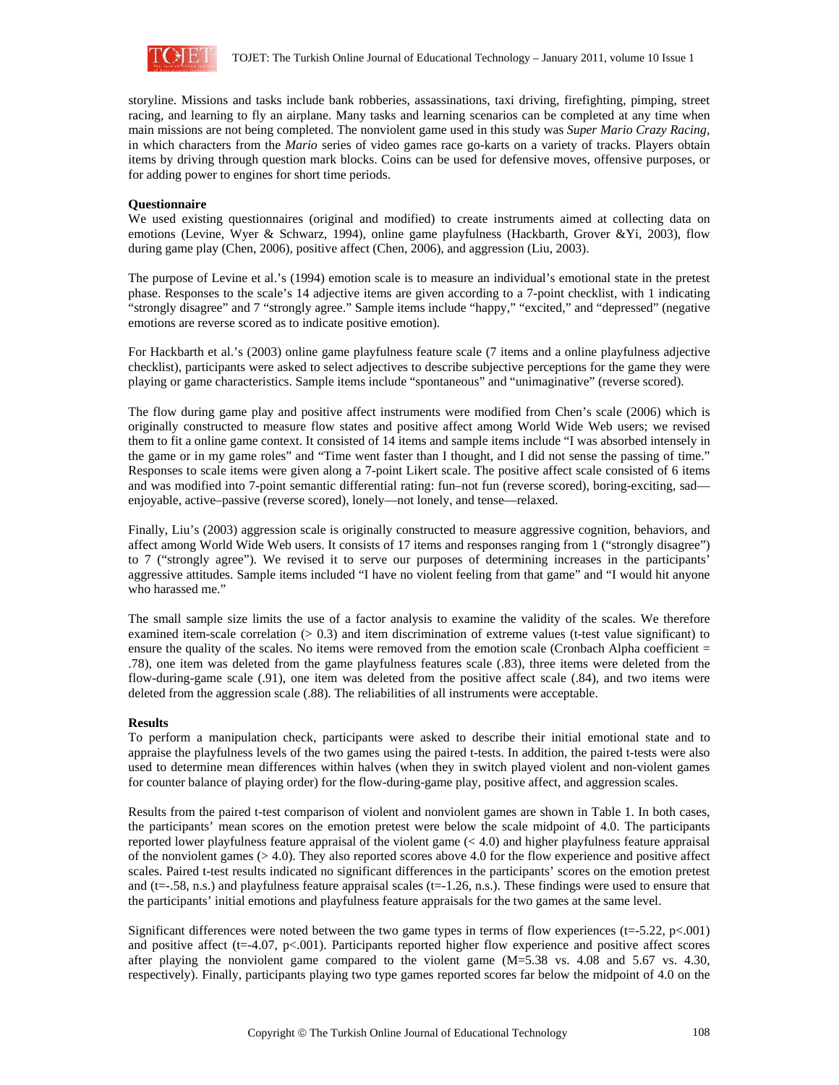

storyline. Missions and tasks include bank robberies, assassinations, taxi driving, firefighting, pimping, street racing, and learning to fly an airplane. Many tasks and learning scenarios can be completed at any time when main missions are not being completed. The nonviolent game used in this study was *Super Mario Crazy Racing*, in which characters from the *Mario* series of video games race go-karts on a variety of tracks. Players obtain items by driving through question mark blocks. Coins can be used for defensive moves, offensive purposes, or for adding power to engines for short time periods.

### **Questionnaire**

We used existing questionnaires (original and modified) to create instruments aimed at collecting data on emotions (Levine, Wyer & Schwarz, 1994), online game playfulness (Hackbarth, Grover &Yi, 2003), flow during game play (Chen, 2006), positive affect (Chen, 2006), and aggression (Liu, 2003).

The purpose of Levine et al.'s (1994) emotion scale is to measure an individual's emotional state in the pretest phase. Responses to the scale's 14 adjective items are given according to a 7-point checklist, with 1 indicating "strongly disagree" and 7 "strongly agree." Sample items include "happy," "excited," and "depressed" (negative emotions are reverse scored as to indicate positive emotion).

For Hackbarth et al.'s (2003) online game playfulness feature scale (7 items and a online playfulness adjective checklist), participants were asked to select adjectives to describe subjective perceptions for the game they were playing or game characteristics. Sample items include "spontaneous" and "unimaginative" (reverse scored).

The flow during game play and positive affect instruments were modified from Chen's scale (2006) which is originally constructed to measure flow states and positive affect among World Wide Web users; we revised them to fit a online game context. It consisted of 14 items and sample items include "I was absorbed intensely in the game or in my game roles" and "Time went faster than I thought, and I did not sense the passing of time." Responses to scale items were given along a 7-point Likert scale. The positive affect scale consisted of 6 items and was modified into 7-point semantic differential rating: fun–not fun (reverse scored), boring-exciting, sad enjoyable, active–passive (reverse scored), lonely—not lonely, and tense—relaxed.

Finally, Liu's (2003) aggression scale is originally constructed to measure aggressive cognition, behaviors, and affect among World Wide Web users. It consists of 17 items and responses ranging from 1 ("strongly disagree") to 7 ("strongly agree"). We revised it to serve our purposes of determining increases in the participants' aggressive attitudes. Sample items included "I have no violent feeling from that game" and "I would hit anyone who harassed me."

The small sample size limits the use of a factor analysis to examine the validity of the scales. We therefore examined item-scale correlation  $(> 0.3)$  and item discrimination of extreme values (t-test value significant) to ensure the quality of the scales. No items were removed from the emotion scale (Cronbach Alpha coefficient = .78), one item was deleted from the game playfulness features scale (.83), three items were deleted from the flow-during-game scale (.91), one item was deleted from the positive affect scale (.84), and two items were deleted from the aggression scale (.88). The reliabilities of all instruments were acceptable.

#### **Results**

To perform a manipulation check, participants were asked to describe their initial emotional state and to appraise the playfulness levels of the two games using the paired t-tests. In addition, the paired t-tests were also used to determine mean differences within halves (when they in switch played violent and non-violent games for counter balance of playing order) for the flow-during-game play, positive affect, and aggression scales.

Results from the paired t-test comparison of violent and nonviolent games are shown in Table 1. In both cases, the participants' mean scores on the emotion pretest were below the scale midpoint of 4.0. The participants reported lower playfulness feature appraisal of the violent game  $( $4.0$ ) and higher playfulness feature appraisal$ of the nonviolent games  $(> 4.0)$ . They also reported scores above 4.0 for the flow experience and positive affect scales. Paired t-test results indicated no significant differences in the participants' scores on the emotion pretest and  $(t=-.58, n.s.)$  and playfulness feature appraisal scales  $(t=-1.26, n.s.)$ . These findings were used to ensure that the participants' initial emotions and playfulness feature appraisals for the two games at the same level.

Significant differences were noted between the two game types in terms of flow experiences (t=-5.22, p<.001) and positive affect (t=-4.07, p<.001). Participants reported higher flow experience and positive affect scores after playing the nonviolent game compared to the violent game (M=5.38 vs. 4.08 and 5.67 vs. 4.30, respectively). Finally, participants playing two type games reported scores far below the midpoint of 4.0 on the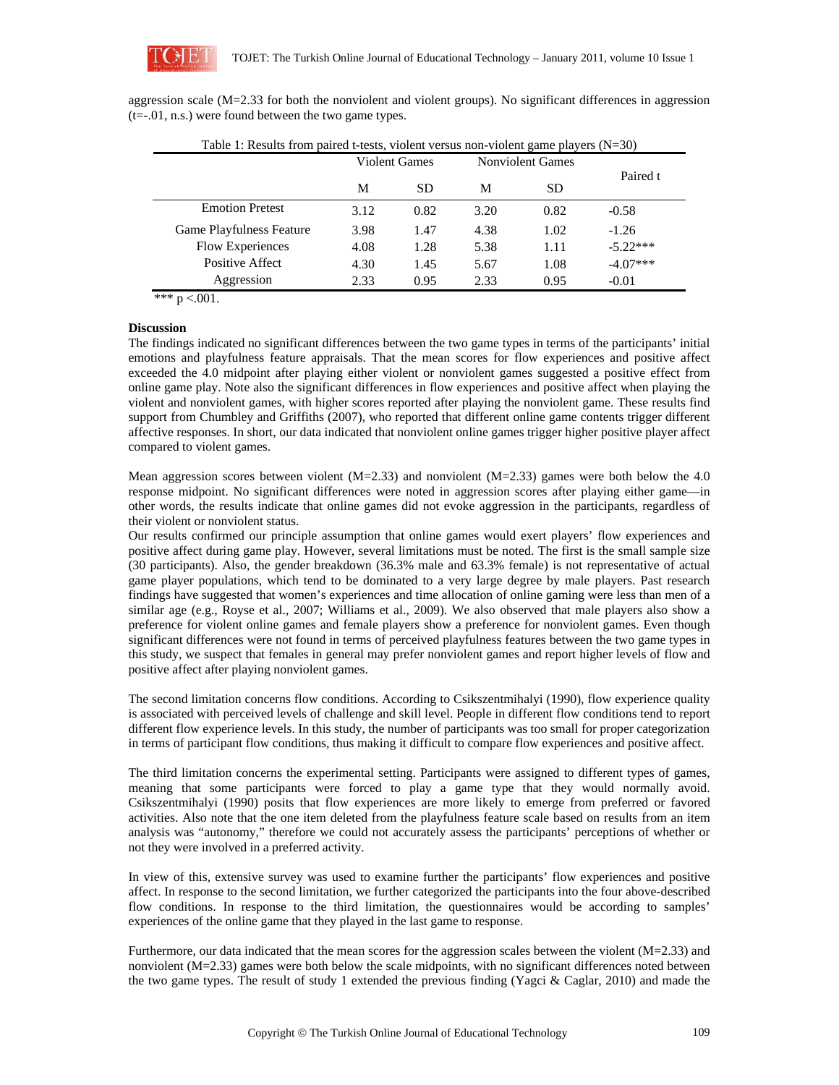

aggression scale (M=2.33 for both the nonviolent and violent groups). No significant differences in aggression  $(t=-.01, n.s.)$  were found between the two game types.

| Table 1: Results from paired t-tests, violent versus non-violent game players $(N=30)$ |                      |           |                         |           |            |
|----------------------------------------------------------------------------------------|----------------------|-----------|-------------------------|-----------|------------|
|                                                                                        | <b>Violent Games</b> |           | <b>Nonviolent Games</b> |           |            |
|                                                                                        | M                    | <b>SD</b> | M                       | <b>SD</b> | Paired t   |
| <b>Emotion Pretest</b>                                                                 | 3.12                 | 0.82      | 3.20                    | 0.82      | $-0.58$    |
| <b>Game Playfulness Feature</b>                                                        | 3.98                 | 1.47      | 4.38                    | 1.02      | $-1.26$    |
| <b>Flow Experiences</b>                                                                | 4.08                 | 1.28      | 5.38                    | 1.11      | $-5.22***$ |
| Positive Affect                                                                        | 4.30                 | 1.45      | 5.67                    | 1.08      | $-4.07***$ |
| Aggression                                                                             | 2.33                 | 0.95      | 2.33                    | 0.95      | $-0.01$    |

\*\*\*  $p < .001$ .

### **Discussion**

The findings indicated no significant differences between the two game types in terms of the participants' initial emotions and playfulness feature appraisals. That the mean scores for flow experiences and positive affect exceeded the 4.0 midpoint after playing either violent or nonviolent games suggested a positive effect from online game play. Note also the significant differences in flow experiences and positive affect when playing the violent and nonviolent games, with higher scores reported after playing the nonviolent game. These results find support from Chumbley and Griffiths (2007), who reported that different online game contents trigger different affective responses. In short, our data indicated that nonviolent online games trigger higher positive player affect compared to violent games.

Mean aggression scores between violent  $(M=2.33)$  and nonviolent  $(M=2.33)$  games were both below the 4.0 response midpoint. No significant differences were noted in aggression scores after playing either game—in other words, the results indicate that online games did not evoke aggression in the participants, regardless of their violent or nonviolent status.

Our results confirmed our principle assumption that online games would exert players' flow experiences and positive affect during game play. However, several limitations must be noted. The first is the small sample size (30 participants). Also, the gender breakdown (36.3% male and 63.3% female) is not representative of actual game player populations, which tend to be dominated to a very large degree by male players. Past research findings have suggested that women's experiences and time allocation of online gaming were less than men of a similar age (e.g., Royse et al., 2007; Williams et al., 2009). We also observed that male players also show a preference for violent online games and female players show a preference for nonviolent games. Even though significant differences were not found in terms of perceived playfulness features between the two game types in this study, we suspect that females in general may prefer nonviolent games and report higher levels of flow and positive affect after playing nonviolent games.

The second limitation concerns flow conditions. According to Csikszentmihalyi (1990), flow experience quality is associated with perceived levels of challenge and skill level. People in different flow conditions tend to report different flow experience levels. In this study, the number of participants was too small for proper categorization in terms of participant flow conditions, thus making it difficult to compare flow experiences and positive affect.

The third limitation concerns the experimental setting. Participants were assigned to different types of games, meaning that some participants were forced to play a game type that they would normally avoid. Csikszentmihalyi (1990) posits that flow experiences are more likely to emerge from preferred or favored activities. Also note that the one item deleted from the playfulness feature scale based on results from an item analysis was "autonomy," therefore we could not accurately assess the participants' perceptions of whether or not they were involved in a preferred activity.

In view of this, extensive survey was used to examine further the participants' flow experiences and positive affect. In response to the second limitation, we further categorized the participants into the four above-described flow conditions. In response to the third limitation, the questionnaires would be according to samples' experiences of the online game that they played in the last game to response.

Furthermore, our data indicated that the mean scores for the aggression scales between the violent (M=2.33) and nonviolent (M=2.33) games were both below the scale midpoints, with no significant differences noted between the two game types. The result of study 1 extended the previous finding (Yagci & Caglar, 2010) and made the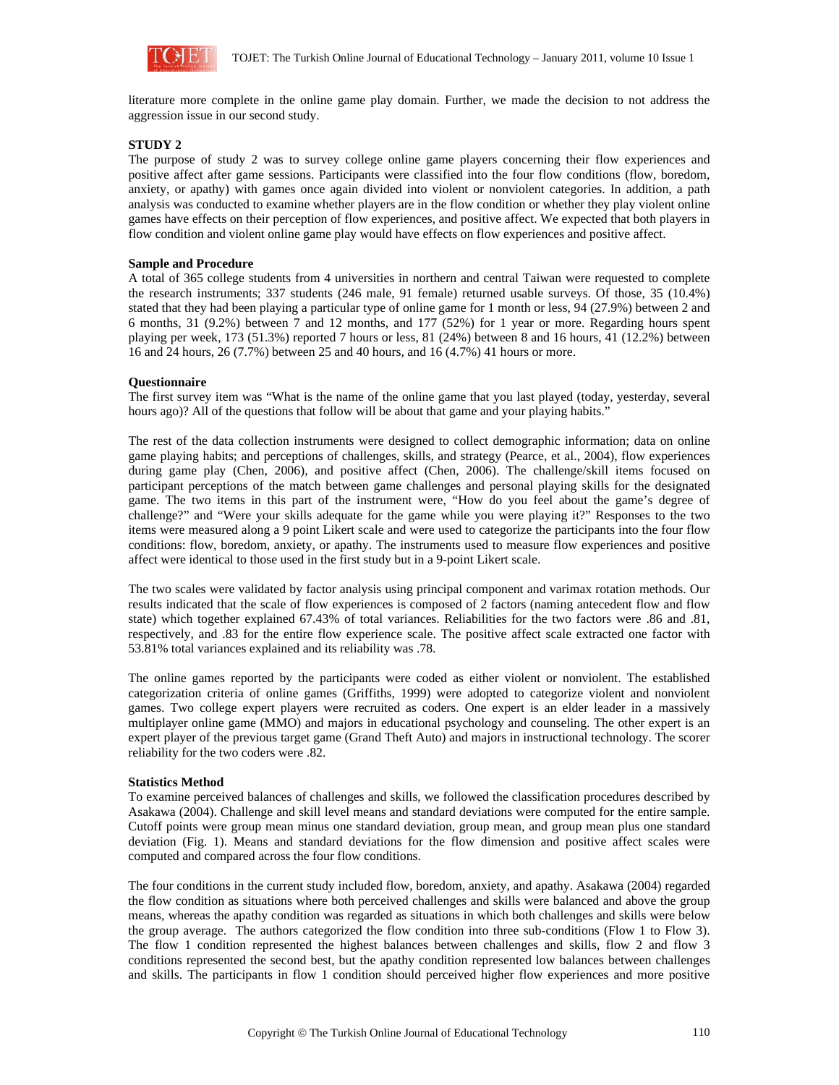

literature more complete in the online game play domain. Further, we made the decision to not address the aggression issue in our second study.

# **STUDY 2**

The purpose of study 2 was to survey college online game players concerning their flow experiences and positive affect after game sessions. Participants were classified into the four flow conditions (flow, boredom, anxiety, or apathy) with games once again divided into violent or nonviolent categories. In addition, a path analysis was conducted to examine whether players are in the flow condition or whether they play violent online games have effects on their perception of flow experiences, and positive affect. We expected that both players in flow condition and violent online game play would have effects on flow experiences and positive affect.

### **Sample and Procedure**

A total of 365 college students from 4 universities in northern and central Taiwan were requested to complete the research instruments; 337 students (246 male, 91 female) returned usable surveys. Of those, 35 (10.4%) stated that they had been playing a particular type of online game for 1 month or less, 94 (27.9%) between 2 and 6 months, 31 (9.2%) between 7 and 12 months, and 177 (52%) for 1 year or more. Regarding hours spent playing per week, 173 (51.3%) reported 7 hours or less, 81 (24%) between 8 and 16 hours, 41 (12.2%) between 16 and 24 hours, 26 (7.7%) between 25 and 40 hours, and 16 (4.7%) 41 hours or more.

### **Questionnaire**

The first survey item was "What is the name of the online game that you last played (today, yesterday, several hours ago)? All of the questions that follow will be about that game and your playing habits."

The rest of the data collection instruments were designed to collect demographic information; data on online game playing habits; and perceptions of challenges, skills, and strategy (Pearce, et al., 2004), flow experiences during game play (Chen, 2006), and positive affect (Chen, 2006). The challenge/skill items focused on participant perceptions of the match between game challenges and personal playing skills for the designated game. The two items in this part of the instrument were, "How do you feel about the game's degree of challenge?" and "Were your skills adequate for the game while you were playing it?" Responses to the two items were measured along a 9 point Likert scale and were used to categorize the participants into the four flow conditions: flow, boredom, anxiety, or apathy. The instruments used to measure flow experiences and positive affect were identical to those used in the first study but in a 9-point Likert scale.

The two scales were validated by factor analysis using principal component and varimax rotation methods. Our results indicated that the scale of flow experiences is composed of 2 factors (naming antecedent flow and flow state) which together explained 67.43% of total variances. Reliabilities for the two factors were .86 and .81, respectively, and .83 for the entire flow experience scale. The positive affect scale extracted one factor with 53.81% total variances explained and its reliability was .78.

The online games reported by the participants were coded as either violent or nonviolent. The established categorization criteria of online games (Griffiths, 1999) were adopted to categorize violent and nonviolent games. Two college expert players were recruited as coders. One expert is an elder leader in a massively multiplayer online game (MMO) and majors in educational psychology and counseling. The other expert is an expert player of the previous target game (Grand Theft Auto) and majors in instructional technology. The scorer reliability for the two coders were .82.

#### **Statistics Method**

To examine perceived balances of challenges and skills, we followed the classification procedures described by Asakawa (2004). Challenge and skill level means and standard deviations were computed for the entire sample. Cutoff points were group mean minus one standard deviation, group mean, and group mean plus one standard deviation (Fig. 1). Means and standard deviations for the flow dimension and positive affect scales were computed and compared across the four flow conditions.

The four conditions in the current study included flow, boredom, anxiety, and apathy. Asakawa (2004) regarded the flow condition as situations where both perceived challenges and skills were balanced and above the group means, whereas the apathy condition was regarded as situations in which both challenges and skills were below the group average. The authors categorized the flow condition into three sub-conditions (Flow 1 to Flow 3). The flow 1 condition represented the highest balances between challenges and skills, flow 2 and flow 3 conditions represented the second best, but the apathy condition represented low balances between challenges and skills. The participants in flow 1 condition should perceived higher flow experiences and more positive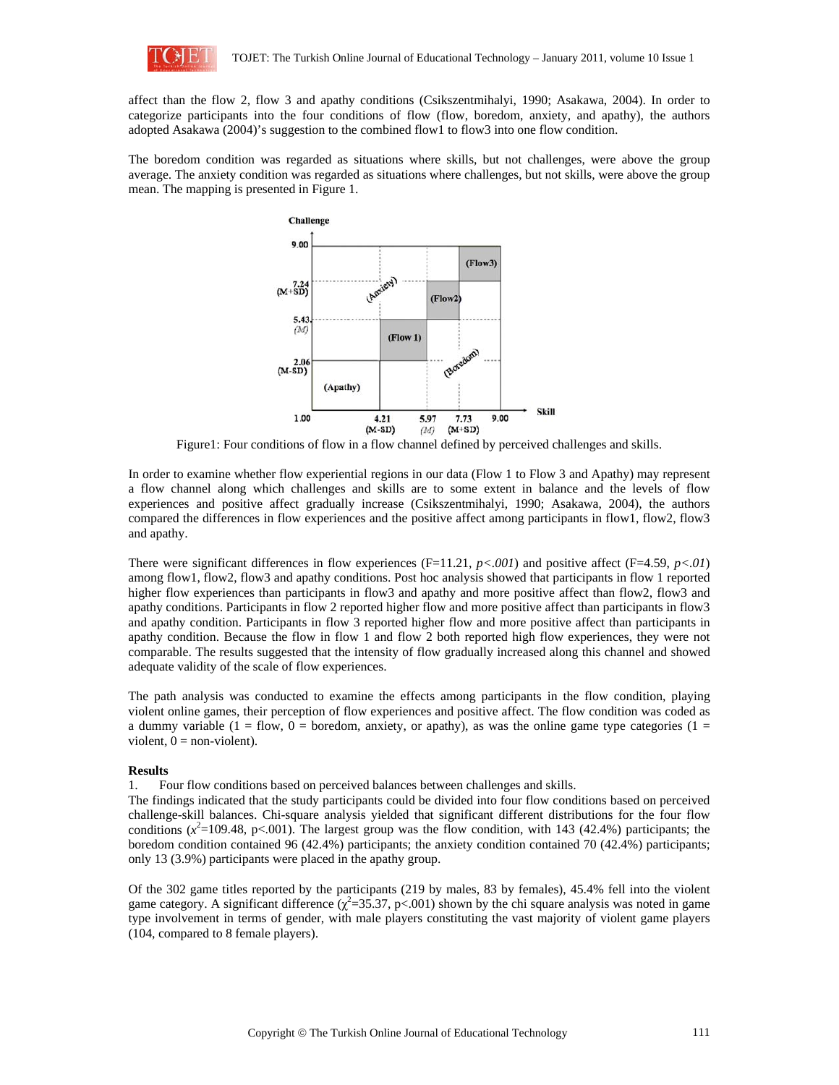

affect than the flow 2, flow 3 and apathy conditions (Csikszentmihalyi, 1990; Asakawa, 2004). In order to categorize participants into the four conditions of flow (flow, boredom, anxiety, and apathy), the authors adopted Asakawa (2004)'s suggestion to the combined flow1 to flow3 into one flow condition.

The boredom condition was regarded as situations where skills, but not challenges, were above the group average. The anxiety condition was regarded as situations where challenges, but not skills, were above the group mean. The mapping is presented in Figure 1.



Figure1: Four conditions of flow in a flow channel defined by perceived challenges and skills.

In order to examine whether flow experiential regions in our data (Flow 1 to Flow 3 and Apathy) may represent a flow channel along which challenges and skills are to some extent in balance and the levels of flow experiences and positive affect gradually increase (Csikszentmihalyi, 1990; Asakawa, 2004), the authors compared the differences in flow experiences and the positive affect among participants in flow1, flow2, flow3 and apathy.

There were significant differences in flow experiences (F=11.21, *p<.001*) and positive affect (F=4.59, *p<.01*) among flow1, flow2, flow3 and apathy conditions. Post hoc analysis showed that participants in flow 1 reported higher flow experiences than participants in flow3 and apathy and more positive affect than flow2, flow3 and apathy conditions. Participants in flow 2 reported higher flow and more positive affect than participants in flow3 and apathy condition. Participants in flow 3 reported higher flow and more positive affect than participants in apathy condition. Because the flow in flow 1 and flow 2 both reported high flow experiences, they were not comparable. The results suggested that the intensity of flow gradually increased along this channel and showed adequate validity of the scale of flow experiences.

The path analysis was conducted to examine the effects among participants in the flow condition, playing violent online games, their perception of flow experiences and positive affect. The flow condition was coded as a dummy variable (1 = flow, 0 = boredom, anxiety, or apathy), as was the online game type categories (1 = violent,  $0 =$  non-violent).

#### **Results**

1. Four flow conditions based on perceived balances between challenges and skills.

The findings indicated that the study participants could be divided into four flow conditions based on perceived challenge-skill balances. Chi-square analysis yielded that significant different distributions for the four flow conditions  $(x^2=109.48, p<.001)$ . The largest group was the flow condition, with 143 (42.4%) participants; the boredom condition contained 96 (42.4%) participants; the anxiety condition contained 70 (42.4%) participants; only 13 (3.9%) participants were placed in the apathy group.

Of the 302 game titles reported by the participants (219 by males, 83 by females), 45.4% fell into the violent game category. A significant difference  $(\chi^2 = 35.37, p < .001)$  shown by the chi square analysis was noted in game type involvement in terms of gender, with male players constituting the vast majority of violent game players (104, compared to 8 female players).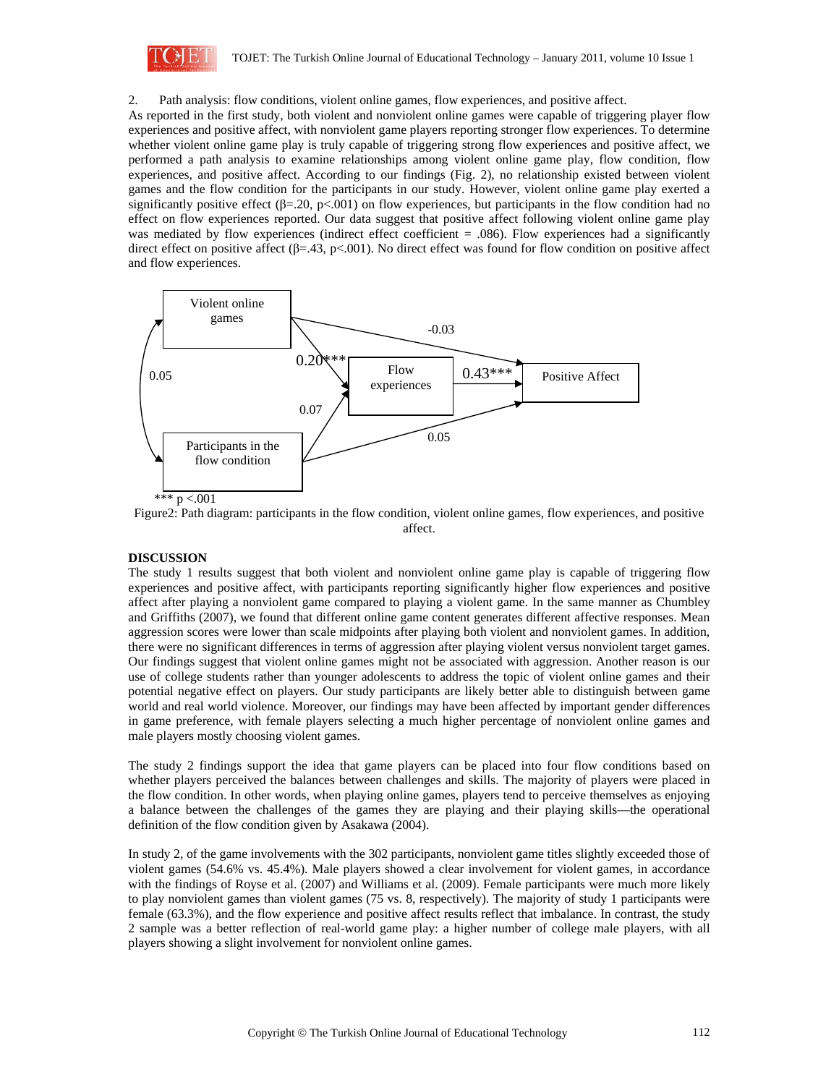

2. Path analysis: flow conditions, violent online games, flow experiences, and positive affect.

As reported in the first study, both violent and nonviolent online games were capable of triggering player flow experiences and positive affect, with nonviolent game players reporting stronger flow experiences. To determine whether violent online game play is truly capable of triggering strong flow experiences and positive affect, we performed a path analysis to examine relationships among violent online game play, flow condition, flow experiences, and positive affect. According to our findings (Fig. 2), no relationship existed between violent games and the flow condition for the participants in our study. However, violent online game play exerted a significantly positive effect ( $\beta$ =.20, p<.001) on flow experiences, but participants in the flow condition had no effect on flow experiences reported. Our data suggest that positive affect following violent online game play was mediated by flow experiences (indirect effect coefficient = .086). Flow experiences had a significantly direct effect on positive affect (β=.43, p<.001). No direct effect was found for flow condition on positive affect and flow experiences.



Figure2: Path diagram: participants in the flow condition, violent online games, flow experiences, and positive affect.

# **DISCUSSION**

The study 1 results suggest that both violent and nonviolent online game play is capable of triggering flow experiences and positive affect, with participants reporting significantly higher flow experiences and positive affect after playing a nonviolent game compared to playing a violent game. In the same manner as Chumbley and Griffiths (2007), we found that different online game content generates different affective responses. Mean aggression scores were lower than scale midpoints after playing both violent and nonviolent games. In addition, there were no significant differences in terms of aggression after playing violent versus nonviolent target games. Our findings suggest that violent online games might not be associated with aggression. Another reason is our use of college students rather than younger adolescents to address the topic of violent online games and their potential negative effect on players. Our study participants are likely better able to distinguish between game world and real world violence. Moreover, our findings may have been affected by important gender differences in game preference, with female players selecting a much higher percentage of nonviolent online games and male players mostly choosing violent games.

The study 2 findings support the idea that game players can be placed into four flow conditions based on whether players perceived the balances between challenges and skills. The majority of players were placed in the flow condition. In other words, when playing online games, players tend to perceive themselves as enjoying a balance between the challenges of the games they are playing and their playing skills—the operational definition of the flow condition given by Asakawa (2004).

In study 2, of the game involvements with the 302 participants, nonviolent game titles slightly exceeded those of violent games (54.6% vs. 45.4%). Male players showed a clear involvement for violent games, in accordance with the findings of Royse et al. (2007) and Williams et al. (2009). Female participants were much more likely to play nonviolent games than violent games (75 vs. 8, respectively). The majority of study 1 participants were female (63.3%), and the flow experience and positive affect results reflect that imbalance. In contrast, the study 2 sample was a better reflection of real-world game play: a higher number of college male players, with all players showing a slight involvement for nonviolent online games.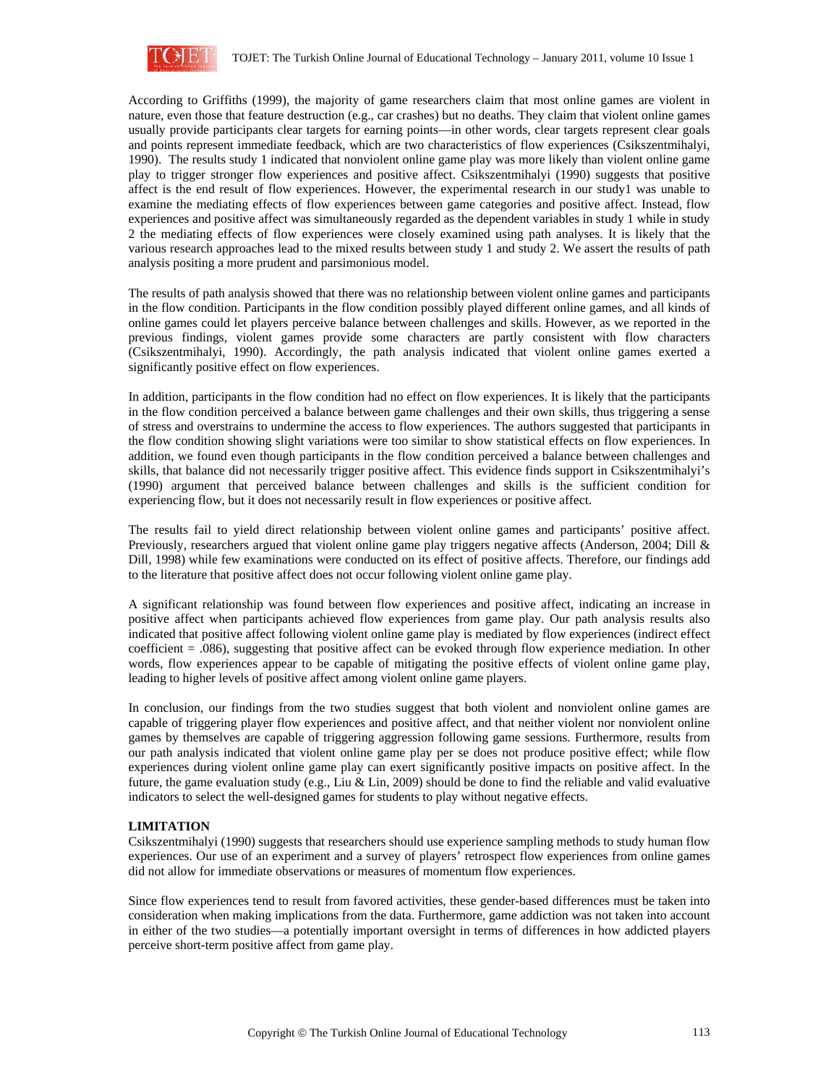

According to Griffiths (1999), the majority of game researchers claim that most online games are violent in nature, even those that feature destruction (e.g., car crashes) but no deaths. They claim that violent online games usually provide participants clear targets for earning points—in other words, clear targets represent clear goals and points represent immediate feedback, which are two characteristics of flow experiences (Csikszentmihalyi, 1990). The results study 1 indicated that nonviolent online game play was more likely than violent online game play to trigger stronger flow experiences and positive affect. Csikszentmihalyi (1990) suggests that positive affect is the end result of flow experiences. However, the experimental research in our study1 was unable to examine the mediating effects of flow experiences between game categories and positive affect. Instead, flow experiences and positive affect was simultaneously regarded as the dependent variables in study 1 while in study 2 the mediating effects of flow experiences were closely examined using path analyses. It is likely that the various research approaches lead to the mixed results between study 1 and study 2. We assert the results of path analysis positing a more prudent and parsimonious model.

The results of path analysis showed that there was no relationship between violent online games and participants in the flow condition. Participants in the flow condition possibly played different online games, and all kinds of online games could let players perceive balance between challenges and skills. However, as we reported in the previous findings, violent games provide some characters are partly consistent with flow characters (Csikszentmihalyi, 1990). Accordingly, the path analysis indicated that violent online games exerted a significantly positive effect on flow experiences.

In addition, participants in the flow condition had no effect on flow experiences. It is likely that the participants in the flow condition perceived a balance between game challenges and their own skills, thus triggering a sense of stress and overstrains to undermine the access to flow experiences. The authors suggested that participants in the flow condition showing slight variations were too similar to show statistical effects on flow experiences. In addition, we found even though participants in the flow condition perceived a balance between challenges and skills, that balance did not necessarily trigger positive affect. This evidence finds support in Csikszentmihalyi's (1990) argument that perceived balance between challenges and skills is the sufficient condition for experiencing flow, but it does not necessarily result in flow experiences or positive affect.

The results fail to yield direct relationship between violent online games and participants' positive affect. Previously, researchers argued that violent online game play triggers negative affects (Anderson, 2004; Dill & Dill, 1998) while few examinations were conducted on its effect of positive affects. Therefore, our findings add to the literature that positive affect does not occur following violent online game play.

A significant relationship was found between flow experiences and positive affect, indicating an increase in positive affect when participants achieved flow experiences from game play. Our path analysis results also indicated that positive affect following violent online game play is mediated by flow experiences (indirect effect coefficient = .086), suggesting that positive affect can be evoked through flow experience mediation. In other words, flow experiences appear to be capable of mitigating the positive effects of violent online game play, leading to higher levels of positive affect among violent online game players.

In conclusion, our findings from the two studies suggest that both violent and nonviolent online games are capable of triggering player flow experiences and positive affect, and that neither violent nor nonviolent online games by themselves are capable of triggering aggression following game sessions. Furthermore, results from our path analysis indicated that violent online game play per se does not produce positive effect; while flow experiences during violent online game play can exert significantly positive impacts on positive affect. In the future, the game evaluation study (e.g., Liu & Lin, 2009) should be done to find the reliable and valid evaluative indicators to select the well-designed games for students to play without negative effects.

# **LIMITATION**

Csikszentmihalyi (1990) suggests that researchers should use experience sampling methods to study human flow experiences. Our use of an experiment and a survey of players' retrospect flow experiences from online games did not allow for immediate observations or measures of momentum flow experiences.

Since flow experiences tend to result from favored activities, these gender-based differences must be taken into consideration when making implications from the data. Furthermore, game addiction was not taken into account in either of the two studies—a potentially important oversight in terms of differences in how addicted players perceive short-term positive affect from game play.